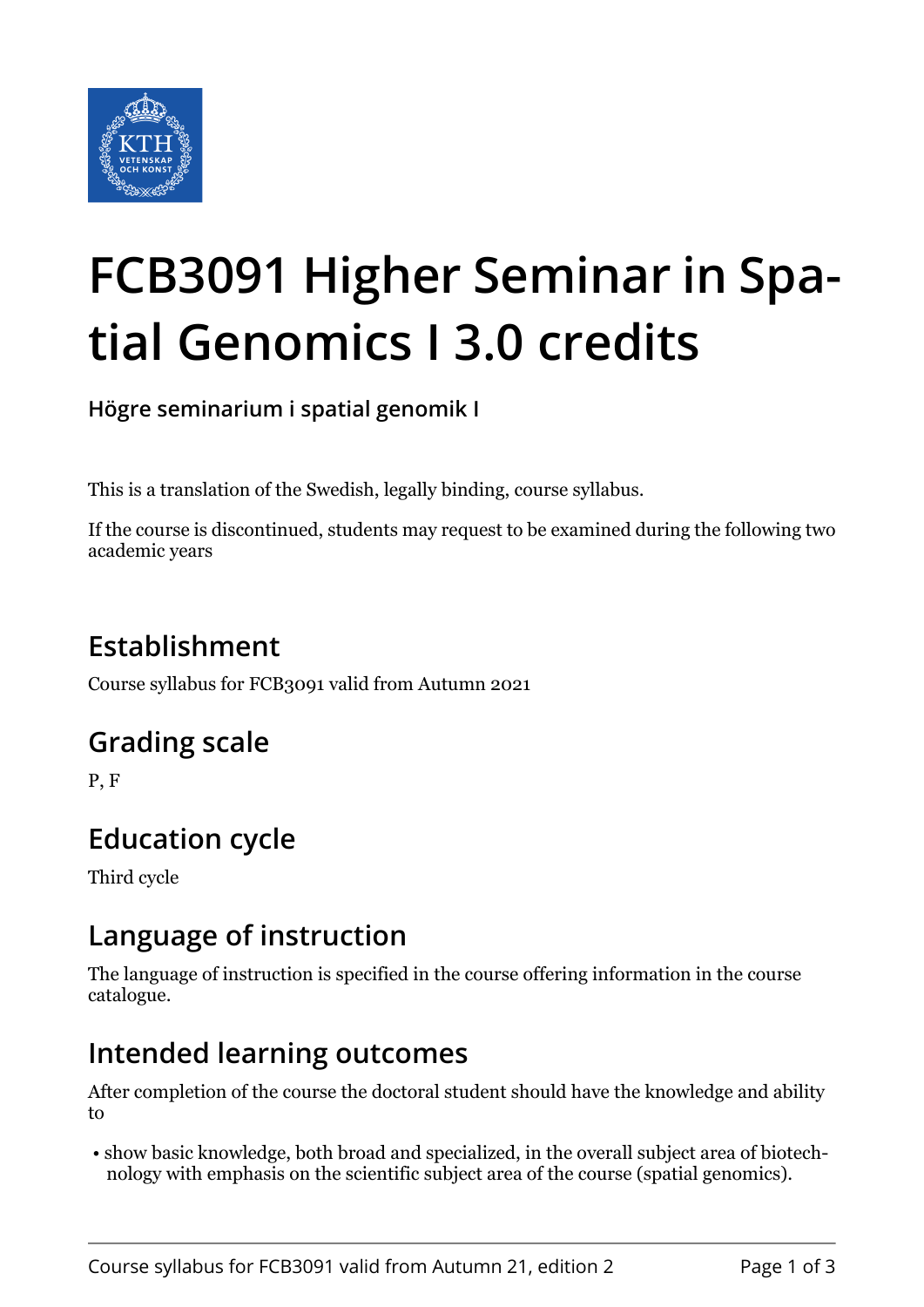

# **FCB3091 Higher Seminar in Spatial Genomics I 3.0 credits**

**Högre seminarium i spatial genomik I**

This is a translation of the Swedish, legally binding, course syllabus.

If the course is discontinued, students may request to be examined during the following two academic years

# **Establishment**

Course syllabus for FCB3091 valid from Autumn 2021

## **Grading scale**

P, F

# **Education cycle**

Third cycle

## **Language of instruction**

The language of instruction is specified in the course offering information in the course catalogue.

## **Intended learning outcomes**

After completion of the course the doctoral student should have the knowledge and ability to

 • show basic knowledge, both broad and specialized, in the overall subject area of biotechnology with emphasis on the scientific subject area of the course (spatial genomics).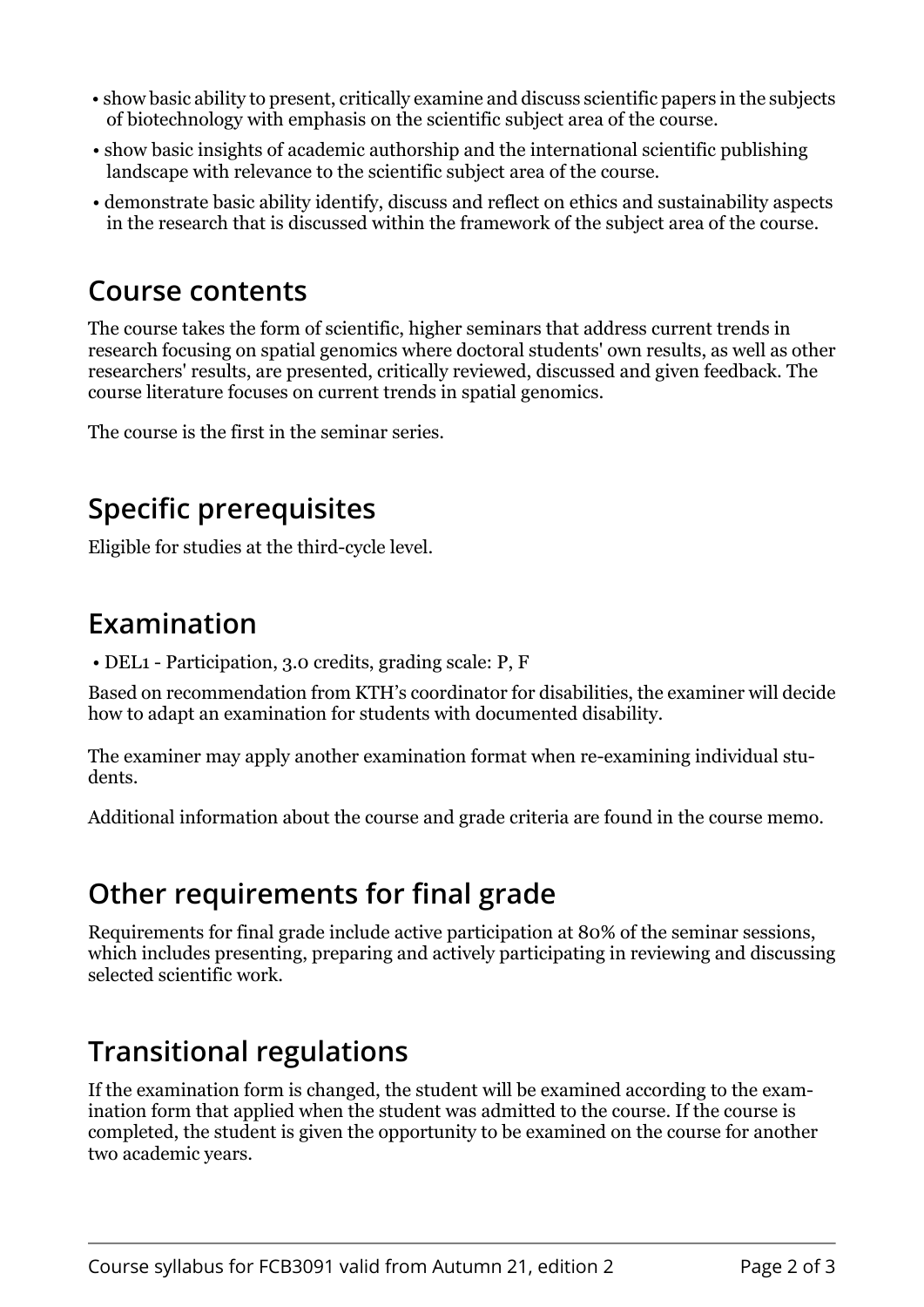- show basic ability to present, critically examine and discuss scientific papers in the subjects of biotechnology with emphasis on the scientific subject area of the course.
- show basic insights of academic authorship and the international scientific publishing landscape with relevance to the scientific subject area of the course.
- demonstrate basic ability identify, discuss and reflect on ethics and sustainability aspects in the research that is discussed within the framework of the subject area of the course.

#### **Course contents**

The course takes the form of scientific, higher seminars that address current trends in research focusing on spatial genomics where doctoral students' own results, as well as other researchers' results, are presented, critically reviewed, discussed and given feedback. The course literature focuses on current trends in spatial genomics.

The course is the first in the seminar series.

# **Specific prerequisites**

Eligible for studies at the third-cycle level.

## **Examination**

• DEL1 - Participation, 3.0 credits, grading scale: P, F

Based on recommendation from KTH's coordinator for disabilities, the examiner will decide how to adapt an examination for students with documented disability.

The examiner may apply another examination format when re-examining individual students.

Additional information about the course and grade criteria are found in the course memo.

## **Other requirements for final grade**

Requirements for final grade include active participation at 80% of the seminar sessions, which includes presenting, preparing and actively participating in reviewing and discussing selected scientific work.

## **Transitional regulations**

If the examination form is changed, the student will be examined according to the examination form that applied when the student was admitted to the course. If the course is completed, the student is given the opportunity to be examined on the course for another two academic years.